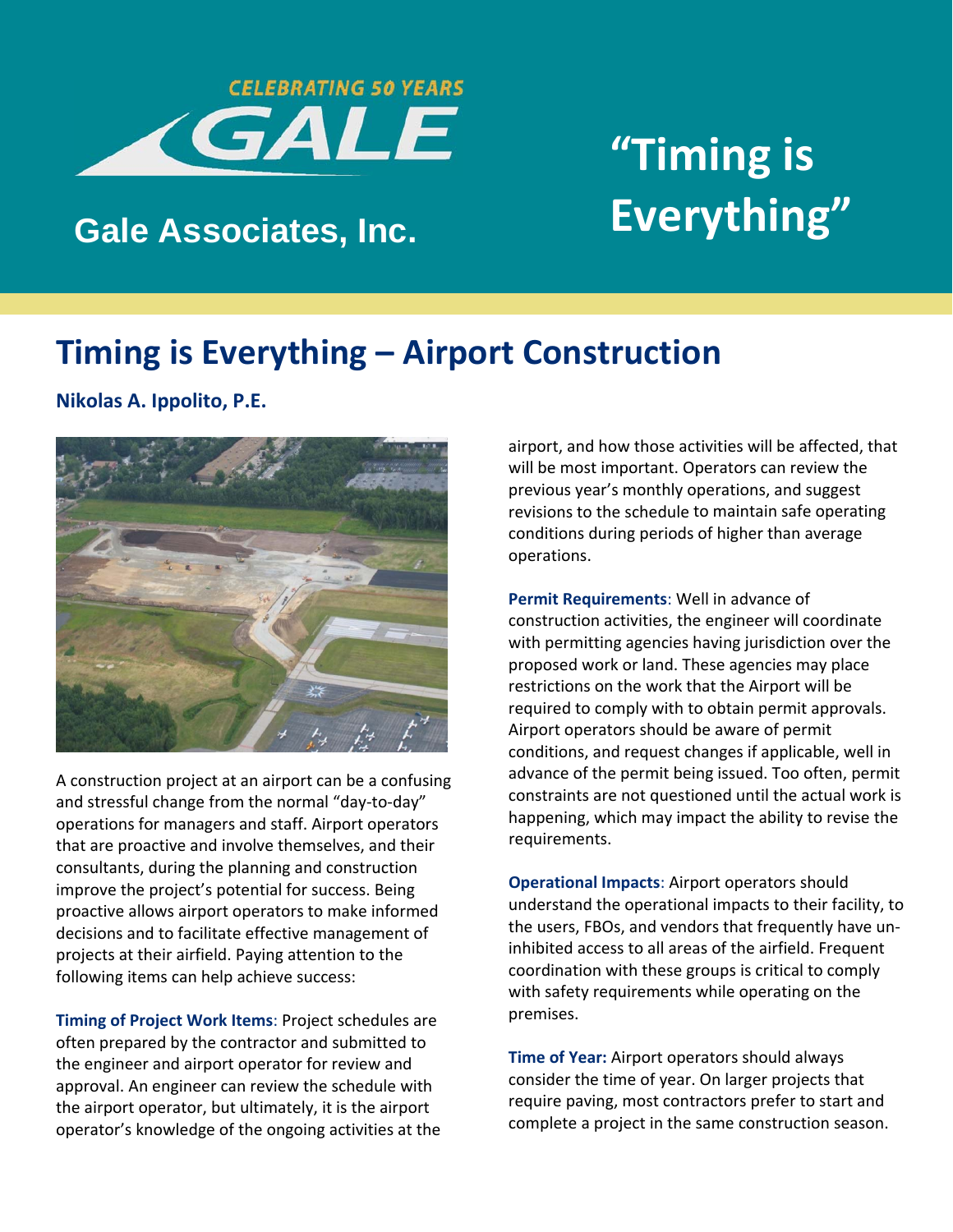

## **"Timing is Gale Associates, Inc. Everything"**

### **Timing is Everything – Airport Construction**

**Nikolas A. Ippolito, P.E.**



A construction project at an airport can be a confusing and stressful change from the normal "day‐to‐day" operations for managers and staff. Airport operators that are proactive and involve themselves, and their consultants, during the planning and construction improve the project's potential for success. Being proactive allows airport operators to make informed decisions and to facilitate effective management of projects at their airfield. Paying attention to the following items can help achieve success:

**Timing of Project Work Items**: Project schedules are often prepared by the contractor and submitted to the engineer and airport operator for review and approval. An engineer can review the schedule with the airport operator, but ultimately, it is the airport operator's knowledge of the ongoing activities at the airport, and how those activities will be affected, that will be most important. Operators can review the previous year's monthly operations, and suggest revisions to the schedule to maintain safe operating conditions during periods of higher than average operations.

**Permit Requirements**: Well in advance of construction activities, the engineer will coordinate with permitting agencies having jurisdiction over the proposed work or land. These agencies may place restrictions on the work that the Airport will be required to comply with to obtain permit approvals. Airport operators should be aware of permit conditions, and request changes if applicable, well in advance of the permit being issued. Too often, permit constraints are not questioned until the actual work is happening, which may impact the ability to revise the requirements.

**Operational Impacts**: Airport operators should understand the operational impacts to their facility, to the users, FBOs, and vendors that frequently have un‐ inhibited access to all areas of the airfield. Frequent coordination with these groups is critical to comply with safety requirements while operating on the premises.

**Time of Year:** Airport operators should always consider the time of year. On larger projects that require paving, most contractors prefer to start and complete a project in the same construction season.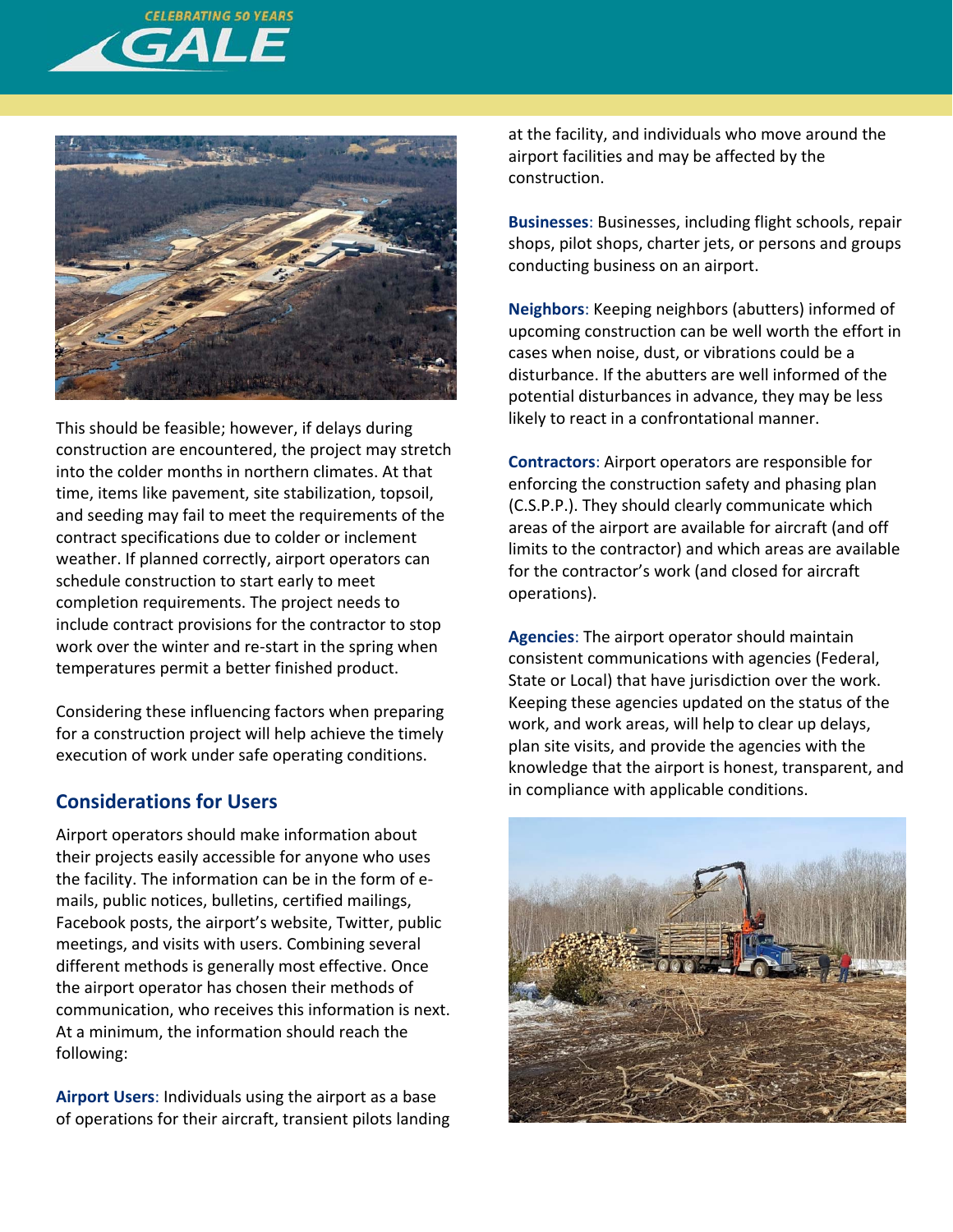



This should be feasible; however, if delays during construction are encountered, the project may stretch into the colder months in northern climates. At that time, items like pavement, site stabilization, topsoil, and seeding may fail to meet the requirements of the contract specifications due to colder or inclement weather. If planned correctly, airport operators can schedule construction to start early to meet completion requirements. The project needs to include contract provisions for the contractor to stop work over the winter and re-start in the spring when temperatures permit a better finished product.

Considering these influencing factors when preparing for a construction project will help achieve the timely execution of work under safe operating conditions.

#### **Considerations for Users**

Airport operators should make information about their projects easily accessible for anyone who uses the facility. The information can be in the form of e‐ mails, public notices, bulletins, certified mailings, Facebook posts, the airport's website, Twitter, public meetings, and visits with users. Combining several different methods is generally most effective. Once the airport operator has chosen their methods of communication, who receives this information is next. At a minimum, the information should reach the following:

**Airport Users**: Individuals using the airport as a base of operations for their aircraft, transient pilots landing at the facility, and individuals who move around the airport facilities and may be affected by the construction.

**Businesses**: Businesses, including flight schools, repair shops, pilot shops, charter jets, or persons and groups conducting business on an airport.

**Neighbors**: Keeping neighbors (abutters) informed of upcoming construction can be well worth the effort in cases when noise, dust, or vibrations could be a disturbance. If the abutters are well informed of the potential disturbances in advance, they may be less likely to react in a confrontational manner.

**Contractors**: Airport operators are responsible for enforcing the construction safety and phasing plan (C.S.P.P.). They should clearly communicate which areas of the airport are available for aircraft (and off limits to the contractor) and which areas are available for the contractor's work (and closed for aircraft operations).

**Agencies**: The airport operator should maintain consistent communications with agencies (Federal, State or Local) that have jurisdiction over the work. Keeping these agencies updated on the status of the work, and work areas, will help to clear up delays, plan site visits, and provide the agencies with the knowledge that the airport is honest, transparent, and in compliance with applicable conditions.

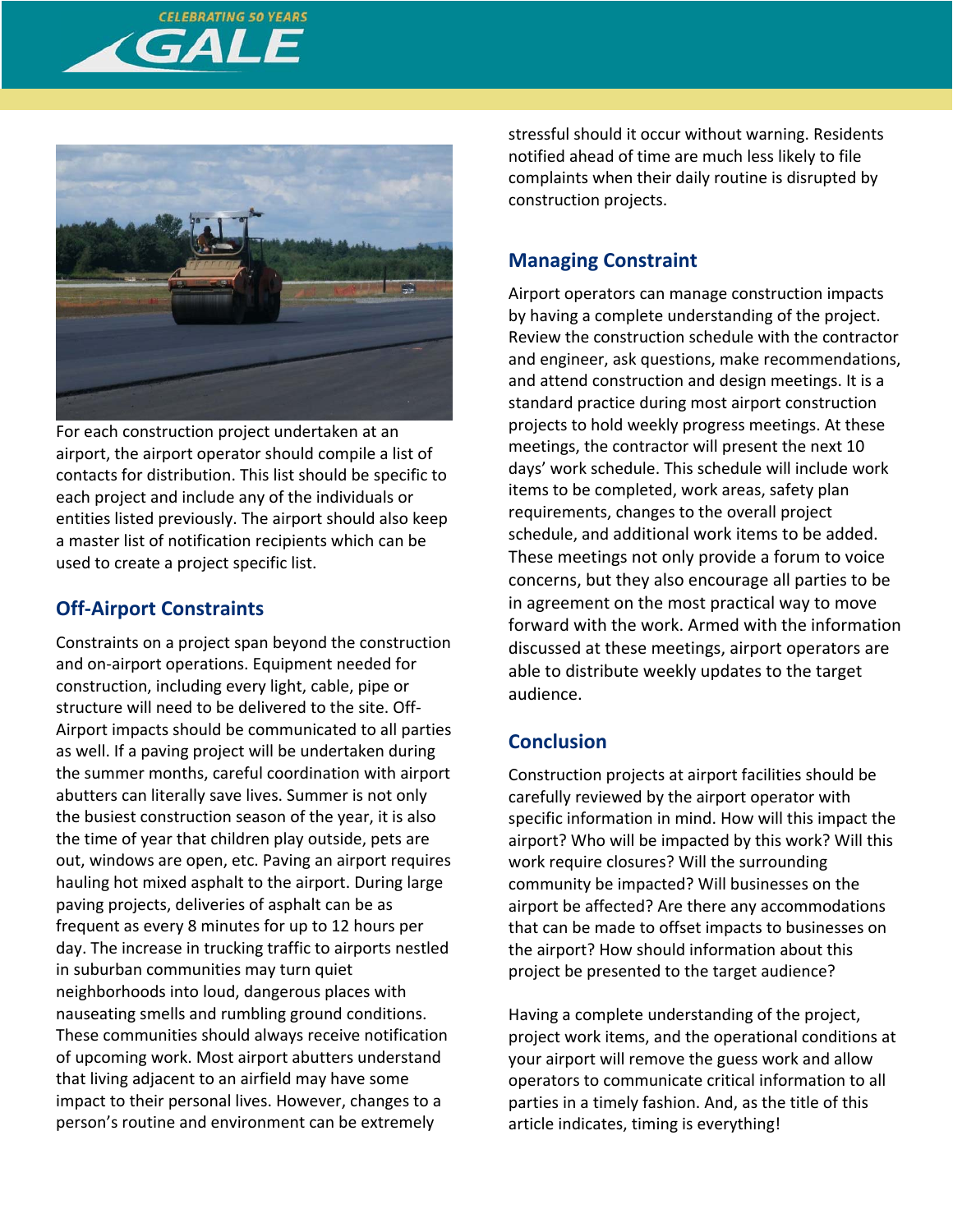



For each construction project undertaken at an airport, the airport operator should compile a list of contacts for distribution. This list should be specific to each project and include any of the individuals or entities listed previously. The airport should also keep a master list of notification recipients which can be used to create a project specific list.

#### **Off‐Airport Constraints**

Constraints on a project span beyond the construction and on‐airport operations. Equipment needed for construction, including every light, cable, pipe or structure will need to be delivered to the site. Off‐ Airport impacts should be communicated to all parties as well. If a paving project will be undertaken during the summer months, careful coordination with airport abutters can literally save lives. Summer is not only the busiest construction season of the year, it is also the time of year that children play outside, pets are out, windows are open, etc. Paving an airport requires hauling hot mixed asphalt to the airport. During large paving projects, deliveries of asphalt can be as frequent as every 8 minutes for up to 12 hours per day. The increase in trucking traffic to airports nestled in suburban communities may turn quiet neighborhoods into loud, dangerous places with nauseating smells and rumbling ground conditions. These communities should always receive notification of upcoming work. Most airport abutters understand that living adjacent to an airfield may have some impact to their personal lives. However, changes to a person's routine and environment can be extremely

stressful should it occur without warning. Residents notified ahead of time are much less likely to file complaints when their daily routine is disrupted by construction projects.

#### **Managing Constraint**

Airport operators can manage construction impacts by having a complete understanding of the project. Review the construction schedule with the contractor and engineer, ask questions, make recommendations, and attend construction and design meetings. It is a standard practice during most airport construction projects to hold weekly progress meetings. At these meetings, the contractor will present the next 10 days' work schedule. This schedule will include work items to be completed, work areas, safety plan requirements, changes to the overall project schedule, and additional work items to be added. These meetings not only provide a forum to voice concerns, but they also encourage all parties to be in agreement on the most practical way to move forward with the work. Armed with the information discussed at these meetings, airport operators are able to distribute weekly updates to the target audience.

#### **Conclusion**

Construction projects at airport facilities should be carefully reviewed by the airport operator with specific information in mind. How will this impact the airport? Who will be impacted by this work? Will this work require closures? Will the surrounding community be impacted? Will businesses on the airport be affected? Are there any accommodations that can be made to offset impacts to businesses on the airport? How should information about this project be presented to the target audience?

Having a complete understanding of the project, project work items, and the operational conditions at your airport will remove the guess work and allow operators to communicate critical information to all parties in a timely fashion. And, as the title of this article indicates, timing is everything!